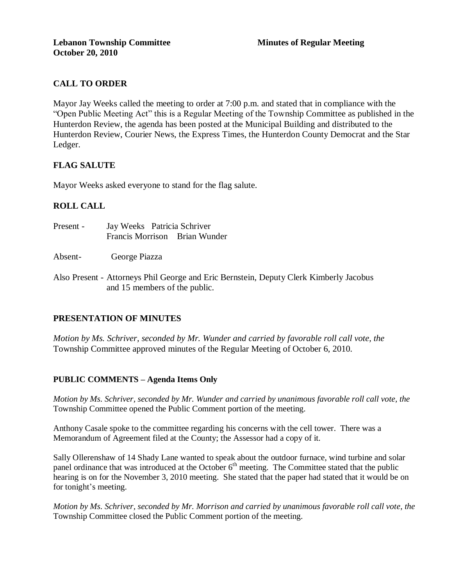# **CALL TO ORDER**

Mayor Jay Weeks called the meeting to order at 7:00 p.m. and stated that in compliance with the "Open Public Meeting Act" this is a Regular Meeting of the Township Committee as published in the Hunterdon Review, the agenda has been posted at the Municipal Building and distributed to the Hunterdon Review, Courier News, the Express Times, the Hunterdon County Democrat and the Star Ledger.

## **FLAG SALUTE**

Mayor Weeks asked everyone to stand for the flag salute.

## **ROLL CALL**

| Present - | Jay Weeks Patricia Schriver |                               |
|-----------|-----------------------------|-------------------------------|
|           |                             | Francis Morrison Brian Wunder |

Absent- George Piazza

Also Present - Attorneys Phil George and Eric Bernstein, Deputy Clerk Kimberly Jacobus and 15 members of the public.

## **PRESENTATION OF MINUTES**

*Motion by Ms. Schriver, seconded by Mr. Wunder and carried by favorable roll call vote, the* Township Committee approved minutes of the Regular Meeting of October 6, 2010.

## **PUBLIC COMMENTS – Agenda Items Only**

*Motion by Ms. Schriver, seconded by Mr. Wunder and carried by unanimous favorable roll call vote, the* Township Committee opened the Public Comment portion of the meeting.

Anthony Casale spoke to the committee regarding his concerns with the cell tower. There was a Memorandum of Agreement filed at the County; the Assessor had a copy of it.

Sally Ollerenshaw of 14 Shady Lane wanted to speak about the outdoor furnace, wind turbine and solar panel ordinance that was introduced at the October 6<sup>th</sup> meeting. The Committee stated that the public hearing is on for the November 3, 2010 meeting. She stated that the paper had stated that it would be on for tonight's meeting.

*Motion by Ms. Schriver, seconded by Mr. Morrison and carried by unanimous favorable roll call vote, the* Township Committee closed the Public Comment portion of the meeting.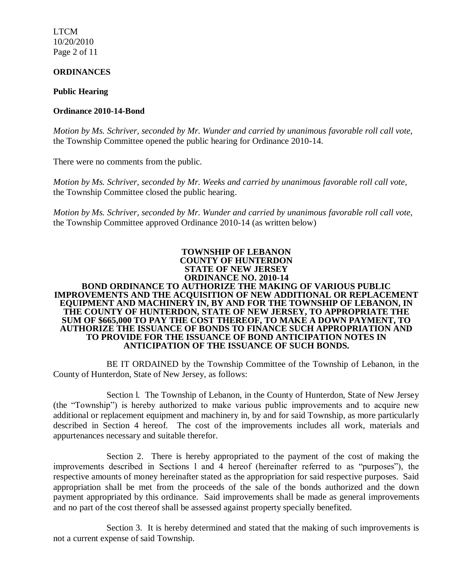LTCM 10/20/2010 Page 2 of 11

#### **ORDINANCES**

#### **Public Hearing**

### **Ordinance 2010-14-Bond**

*Motion by Ms. Schriver, seconded by Mr. Wunder and carried by unanimous favorable roll call vote,* the Township Committee opened the public hearing for Ordinance 2010-14.

There were no comments from the public.

*Motion by Ms. Schriver, seconded by Mr. Weeks and carried by unanimous favorable roll call vote,* the Township Committee closed the public hearing.

*Motion by Ms. Schriver, seconded by Mr. Wunder and carried by unanimous favorable roll call vote,*  the Township Committee approved Ordinance 2010-14 (as written below)

#### **TOWNSHIP OF LEBANON COUNTY OF HUNTERDON STATE OF NEW JERSEY**

#### **ORDINANCE NO. 2010-14 BOND ORDINANCE TO AUTHORIZE THE MAKING OF VARIOUS PUBLIC IMPROVEMENTS AND THE ACQUISITION OF NEW ADDITIONAL OR REPLACEMENT EQUIPMENT AND MACHINERY IN, BY AND FOR THE TOWNSHIP OF LEBANON, IN THE COUNTY OF HUNTERDON, STATE OF NEW JERSEY, TO APPROPRIATE THE SUM OF \$665,000 TO PAY THE COST THEREOF, TO MAKE A DOWN PAYMENT, TO AUTHORIZE THE ISSUANCE OF BONDS TO FINANCE SUCH APPROPRIATION AND TO PROVIDE FOR THE ISSUANCE OF BOND ANTICIPATION NOTES IN ANTICIPATION OF THE ISSUANCE OF SUCH BONDS.**

BE IT ORDAINED by the Township Committee of the Township of Lebanon, in the County of Hunterdon, State of New Jersey, as follows:

Section l. The Township of Lebanon, in the County of Hunterdon, State of New Jersey (the "Township") is hereby authorized to make various public improvements and to acquire new additional or replacement equipment and machinery in, by and for said Township, as more particularly described in Section 4 hereof. The cost of the improvements includes all work, materials and appurtenances necessary and suitable therefor.

Section 2. There is hereby appropriated to the payment of the cost of making the improvements described in Sections l and 4 hereof (hereinafter referred to as "purposes"), the respective amounts of money hereinafter stated as the appropriation for said respective purposes. Said appropriation shall be met from the proceeds of the sale of the bonds authorized and the down payment appropriated by this ordinance. Said improvements shall be made as general improvements and no part of the cost thereof shall be assessed against property specially benefited.

Section 3. It is hereby determined and stated that the making of such improvements is not a current expense of said Township.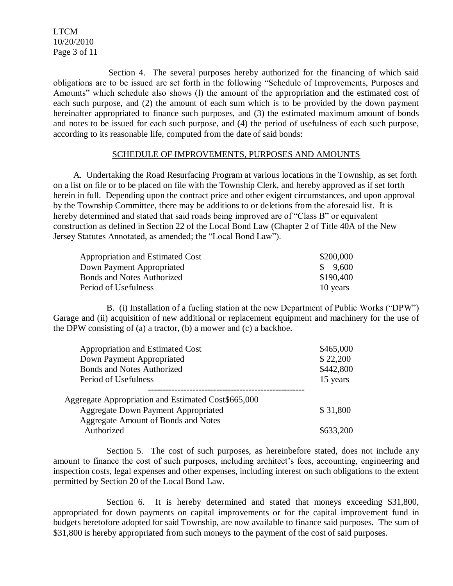LTCM 10/20/2010 Page 3 of 11

 Section 4. The several purposes hereby authorized for the financing of which said obligations are to be issued are set forth in the following "Schedule of Improvements, Purposes and Amounts" which schedule also shows (l) the amount of the appropriation and the estimated cost of each such purpose, and (2) the amount of each sum which is to be provided by the down payment hereinafter appropriated to finance such purposes, and (3) the estimated maximum amount of bonds and notes to be issued for each such purpose, and (4) the period of usefulness of each such purpose, according to its reasonable life, computed from the date of said bonds:

#### SCHEDULE OF IMPROVEMENTS, PURPOSES AND AMOUNTS

 A. Undertaking the Road Resurfacing Program at various locations in the Township, as set forth on a list on file or to be placed on file with the Township Clerk, and hereby approved as if set forth herein in full. Depending upon the contract price and other exigent circumstances, and upon approval by the Township Committee, there may be additions to or deletions from the aforesaid list. It is hereby determined and stated that said roads being improved are of "Class B" or equivalent construction as defined in Section 22 of the Local Bond Law (Chapter 2 of Title 40A of the New Jersey Statutes Annotated, as amended; the "Local Bond Law").

| Appropriation and Estimated Cost  | \$200,000 |
|-----------------------------------|-----------|
| Down Payment Appropriated         | \$9,600   |
| <b>Bonds and Notes Authorized</b> | \$190,400 |
| Period of Usefulness              | 10 years  |

B. (i) Installation of a fueling station at the new Department of Public Works ("DPW") Garage and (ii) acquisition of new additional or replacement equipment and machinery for the use of the DPW consisting of (a) a tractor, (b) a mower and (c) a backhoe.

| Appropriation and Estimated Cost                    | \$465,000 |
|-----------------------------------------------------|-----------|
| Down Payment Appropriated                           | \$22,200  |
| <b>Bonds and Notes Authorized</b>                   | \$442,800 |
| Period of Usefulness                                | 15 years  |
|                                                     |           |
| Aggregate Appropriation and Estimated Cost\$665,000 |           |
| <b>Aggregate Down Payment Appropriated</b>          | \$31,800  |
| Aggregate Amount of Bonds and Notes                 |           |
| Authorized                                          | \$633,200 |

Section 5. The cost of such purposes, as hereinbefore stated, does not include any amount to finance the cost of such purposes, including architect's fees, accounting, engineering and inspection costs, legal expenses and other expenses, including interest on such obligations to the extent permitted by Section 20 of the Local Bond Law.

Section 6. It is hereby determined and stated that moneys exceeding \$31,800, appropriated for down payments on capital improvements or for the capital improvement fund in budgets heretofore adopted for said Township, are now available to finance said purposes. The sum of \$31,800 is hereby appropriated from such moneys to the payment of the cost of said purposes.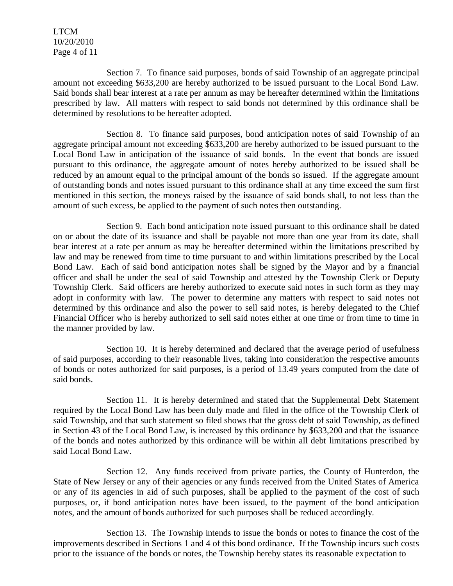LTCM 10/20/2010 Page 4 of 11

Section 7. To finance said purposes, bonds of said Township of an aggregate principal amount not exceeding \$633,200 are hereby authorized to be issued pursuant to the Local Bond Law. Said bonds shall bear interest at a rate per annum as may be hereafter determined within the limitations prescribed by law. All matters with respect to said bonds not determined by this ordinance shall be determined by resolutions to be hereafter adopted.

Section 8. To finance said purposes, bond anticipation notes of said Township of an aggregate principal amount not exceeding \$633,200 are hereby authorized to be issued pursuant to the Local Bond Law in anticipation of the issuance of said bonds. In the event that bonds are issued pursuant to this ordinance, the aggregate amount of notes hereby authorized to be issued shall be reduced by an amount equal to the principal amount of the bonds so issued. If the aggregate amount of outstanding bonds and notes issued pursuant to this ordinance shall at any time exceed the sum first mentioned in this section, the moneys raised by the issuance of said bonds shall, to not less than the amount of such excess, be applied to the payment of such notes then outstanding.

Section 9. Each bond anticipation note issued pursuant to this ordinance shall be dated on or about the date of its issuance and shall be payable not more than one year from its date, shall bear interest at a rate per annum as may be hereafter determined within the limitations prescribed by law and may be renewed from time to time pursuant to and within limitations prescribed by the Local Bond Law. Each of said bond anticipation notes shall be signed by the Mayor and by a financial officer and shall be under the seal of said Township and attested by the Township Clerk or Deputy Township Clerk. Said officers are hereby authorized to execute said notes in such form as they may adopt in conformity with law. The power to determine any matters with respect to said notes not determined by this ordinance and also the power to sell said notes, is hereby delegated to the Chief Financial Officer who is hereby authorized to sell said notes either at one time or from time to time in the manner provided by law.

Section 10. It is hereby determined and declared that the average period of usefulness of said purposes, according to their reasonable lives, taking into consideration the respective amounts of bonds or notes authorized for said purposes, is a period of 13.49 years computed from the date of said bonds.

Section 11. It is hereby determined and stated that the Supplemental Debt Statement required by the Local Bond Law has been duly made and filed in the office of the Township Clerk of said Township, and that such statement so filed shows that the gross debt of said Township, as defined in Section 43 of the Local Bond Law, is increased by this ordinance by \$633,200 and that the issuance of the bonds and notes authorized by this ordinance will be within all debt limitations prescribed by said Local Bond Law.

Section 12. Any funds received from private parties, the County of Hunterdon, the State of New Jersey or any of their agencies or any funds received from the United States of America or any of its agencies in aid of such purposes, shall be applied to the payment of the cost of such purposes, or, if bond anticipation notes have been issued, to the payment of the bond anticipation notes, and the amount of bonds authorized for such purposes shall be reduced accordingly.

Section 13. The Township intends to issue the bonds or notes to finance the cost of the improvements described in Sections 1 and 4 of this bond ordinance. If the Township incurs such costs prior to the issuance of the bonds or notes, the Township hereby states its reasonable expectation to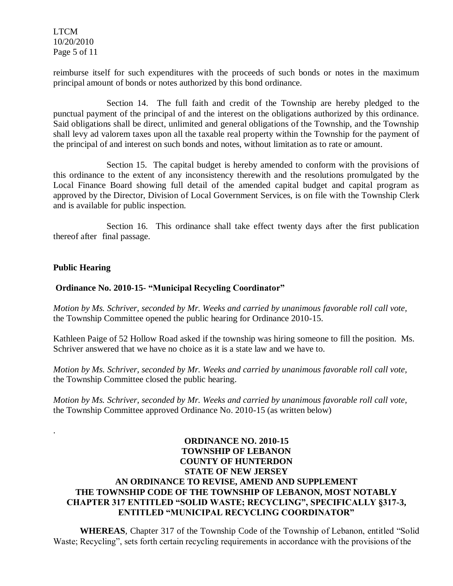LTCM 10/20/2010 Page 5 of 11

reimburse itself for such expenditures with the proceeds of such bonds or notes in the maximum principal amount of bonds or notes authorized by this bond ordinance.

Section 14. The full faith and credit of the Township are hereby pledged to the punctual payment of the principal of and the interest on the obligations authorized by this ordinance. Said obligations shall be direct, unlimited and general obligations of the Township, and the Township shall levy ad valorem taxes upon all the taxable real property within the Township for the payment of the principal of and interest on such bonds and notes, without limitation as to rate or amount.

Section 15. The capital budget is hereby amended to conform with the provisions of this ordinance to the extent of any inconsistency therewith and the resolutions promulgated by the Local Finance Board showing full detail of the amended capital budget and capital program as approved by the Director, Division of Local Government Services, is on file with the Township Clerk and is available for public inspection.

Section 16. This ordinance shall take effect twenty days after the first publication thereof after final passage.

## **Public Hearing**

.

### **Ordinance No. 2010-15- "Municipal Recycling Coordinator"**

*Motion by Ms. Schriver, seconded by Mr. Weeks and carried by unanimous favorable roll call vote,* the Township Committee opened the public hearing for Ordinance 2010-15.

Kathleen Paige of 52 Hollow Road asked if the township was hiring someone to fill the position. Ms. Schriver answered that we have no choice as it is a state law and we have to.

*Motion by Ms. Schriver, seconded by Mr. Weeks and carried by unanimous favorable roll call vote,* the Township Committee closed the public hearing.

*Motion by Ms. Schriver, seconded by Mr. Weeks and carried by unanimous favorable roll call vote,* the Township Committee approved Ordinance No. 2010-15 (as written below)

## **ORDINANCE NO. 2010-15 TOWNSHIP OF LEBANON COUNTY OF HUNTERDON STATE OF NEW JERSEY AN ORDINANCE TO REVISE, AMEND AND SUPPLEMENT THE TOWNSHIP CODE OF THE TOWNSHIP OF LEBANON, MOST NOTABLY CHAPTER 317 ENTITLED "SOLID WASTE; RECYCLING", SPECIFICALLY §317-3, ENTITLED "MUNICIPAL RECYCLING COORDINATOR"**

**WHEREAS**, Chapter 317 of the Township Code of the Township of Lebanon, entitled "Solid Waste; Recycling", sets forth certain recycling requirements in accordance with the provisions of the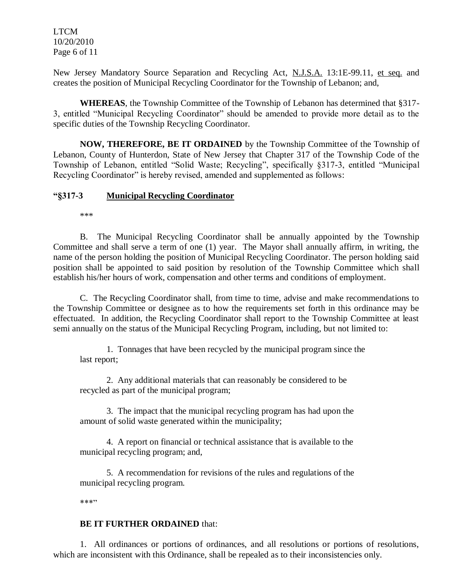LTCM 10/20/2010 Page 6 of 11

New Jersey Mandatory Source Separation and Recycling Act, N.J.S.A. 13:1E-99.11, et seq. and creates the position of Municipal Recycling Coordinator for the Township of Lebanon; and,

**WHEREAS**, the Township Committee of the Township of Lebanon has determined that §317- 3, entitled "Municipal Recycling Coordinator" should be amended to provide more detail as to the specific duties of the Township Recycling Coordinator.

**NOW, THEREFORE, BE IT ORDAINED** by the Township Committee of the Township of Lebanon, County of Hunterdon, State of New Jersey that Chapter 317 of the Township Code of the Township of Lebanon, entitled "Solid Waste; Recycling", specifically §317-3, entitled "Municipal Recycling Coordinator" is hereby revised, amended and supplemented as follows:

### **"§317-3 Municipal Recycling Coordinator**

\*\*\*

B. The Municipal Recycling Coordinator shall be annually appointed by the Township Committee and shall serve a term of one (1) year. The Mayor shall annually affirm, in writing, the name of the person holding the position of Municipal Recycling Coordinator. The person holding said position shall be appointed to said position by resolution of the Township Committee which shall establish his/her hours of work, compensation and other terms and conditions of employment.

C. The Recycling Coordinator shall, from time to time, advise and make recommendations to the Township Committee or designee as to how the requirements set forth in this ordinance may be effectuated. In addition, the Recycling Coordinator shall report to the Township Committee at least semi annually on the status of the Municipal Recycling Program, including, but not limited to:

1. Tonnages that have been recycled by the municipal program since the last report;

2. Any additional materials that can reasonably be considered to be recycled as part of the municipal program;

3. The impact that the municipal recycling program has had upon the amount of solid waste generated within the municipality;

4. A report on financial or technical assistance that is available to the municipal recycling program; and,

5. A recommendation for revisions of the rules and regulations of the municipal recycling program.

\*\*\*"

## **BE IT FURTHER ORDAINED** that:

1. All ordinances or portions of ordinances, and all resolutions or portions of resolutions, which are inconsistent with this Ordinance, shall be repealed as to their inconsistencies only.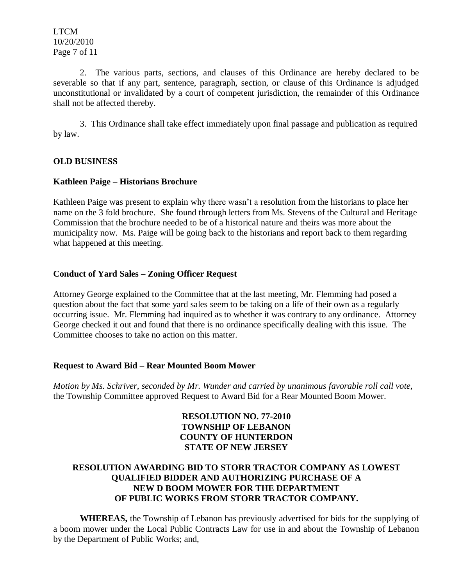LTCM 10/20/2010 Page 7 of 11

2. The various parts, sections, and clauses of this Ordinance are hereby declared to be severable so that if any part, sentence, paragraph, section, or clause of this Ordinance is adjudged unconstitutional or invalidated by a court of competent jurisdiction, the remainder of this Ordinance shall not be affected thereby.

3. This Ordinance shall take effect immediately upon final passage and publication as required by law.

## **OLD BUSINESS**

### **Kathleen Paige – Historians Brochure**

Kathleen Paige was present to explain why there wasn't a resolution from the historians to place her name on the 3 fold brochure. She found through letters from Ms. Stevens of the Cultural and Heritage Commission that the brochure needed to be of a historical nature and theirs was more about the municipality now. Ms. Paige will be going back to the historians and report back to them regarding what happened at this meeting.

### **Conduct of Yard Sales – Zoning Officer Request**

Attorney George explained to the Committee that at the last meeting, Mr. Flemming had posed a question about the fact that some yard sales seem to be taking on a life of their own as a regularly occurring issue. Mr. Flemming had inquired as to whether it was contrary to any ordinance. Attorney George checked it out and found that there is no ordinance specifically dealing with this issue. The Committee chooses to take no action on this matter.

#### **Request to Award Bid – Rear Mounted Boom Mower**

*Motion by Ms. Schriver, seconded by Mr. Wunder and carried by unanimous favorable roll call vote,* the Township Committee approved Request to Award Bid for a Rear Mounted Boom Mower.

## **RESOLUTION NO. 77-2010 TOWNSHIP OF LEBANON COUNTY OF HUNTERDON STATE OF NEW JERSEY**

## **RESOLUTION AWARDING BID TO STORR TRACTOR COMPANY AS LOWEST QUALIFIED BIDDER AND AUTHORIZING PURCHASE OF A NEW D BOOM MOWER FOR THE DEPARTMENT OF PUBLIC WORKS FROM STORR TRACTOR COMPANY.**

**WHEREAS,** the Township of Lebanon has previously advertised for bids for the supplying of a boom mower under the Local Public Contracts Law for use in and about the Township of Lebanon by the Department of Public Works; and,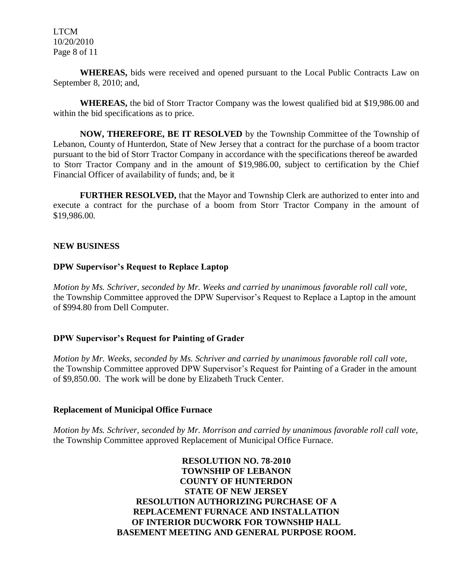LTCM 10/20/2010 Page 8 of 11

**WHEREAS,** bids were received and opened pursuant to the Local Public Contracts Law on September 8, 2010; and,

**WHEREAS,** the bid of Storr Tractor Company was the lowest qualified bid at \$19,986.00 and within the bid specifications as to price.

**NOW, THEREFORE, BE IT RESOLVED** by the Township Committee of the Township of Lebanon, County of Hunterdon, State of New Jersey that a contract for the purchase of a boom tractor pursuant to the bid of Storr Tractor Company in accordance with the specifications thereof be awarded to Storr Tractor Company and in the amount of \$19,986.00, subject to certification by the Chief Financial Officer of availability of funds; and, be it

**FURTHER RESOLVED,** that the Mayor and Township Clerk are authorized to enter into and execute a contract for the purchase of a boom from Storr Tractor Company in the amount of \$19,986.00.

## **NEW BUSINESS**

### **DPW Supervisor's Request to Replace Laptop**

*Motion by Ms. Schriver, seconded by Mr. Weeks and carried by unanimous favorable roll call vote,* the Township Committee approved the DPW Supervisor's Request to Replace a Laptop in the amount of \$994.80 from Dell Computer.

## **DPW Supervisor's Request for Painting of Grader**

*Motion by Mr. Weeks, seconded by Ms. Schriver and carried by unanimous favorable roll call vote,* the Township Committee approved DPW Supervisor's Request for Painting of a Grader in the amount of \$9,850.00. The work will be done by Elizabeth Truck Center.

#### **Replacement of Municipal Office Furnace**

*Motion by Ms. Schriver, seconded by Mr. Morrison and carried by unanimous favorable roll call vote,* the Township Committee approved Replacement of Municipal Office Furnace.

> **RESOLUTION NO. 78-2010 TOWNSHIP OF LEBANON COUNTY OF HUNTERDON STATE OF NEW JERSEY RESOLUTION AUTHORIZING PURCHASE OF A REPLACEMENT FURNACE AND INSTALLATION OF INTERIOR DUCWORK FOR TOWNSHIP HALL BASEMENT MEETING AND GENERAL PURPOSE ROOM.**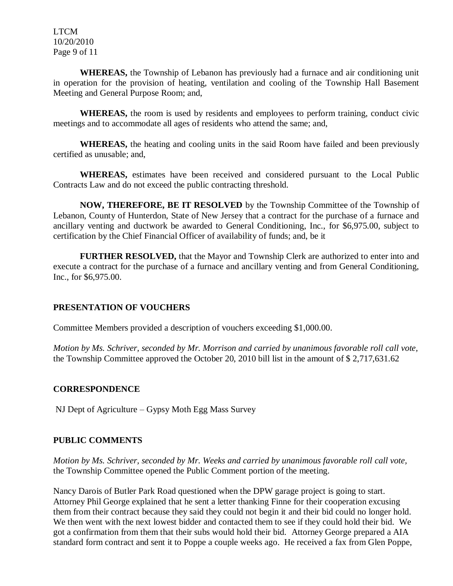LTCM 10/20/2010 Page 9 of 11

**WHEREAS,** the Township of Lebanon has previously had a furnace and air conditioning unit in operation for the provision of heating, ventilation and cooling of the Township Hall Basement Meeting and General Purpose Room; and,

**WHEREAS,** the room is used by residents and employees to perform training, conduct civic meetings and to accommodate all ages of residents who attend the same; and,

**WHEREAS,** the heating and cooling units in the said Room have failed and been previously certified as unusable; and,

**WHEREAS,** estimates have been received and considered pursuant to the Local Public Contracts Law and do not exceed the public contracting threshold.

**NOW, THEREFORE, BE IT RESOLVED** by the Township Committee of the Township of Lebanon, County of Hunterdon, State of New Jersey that a contract for the purchase of a furnace and ancillary venting and ductwork be awarded to General Conditioning, Inc., for \$6,975.00, subject to certification by the Chief Financial Officer of availability of funds; and, be it

**FURTHER RESOLVED,** that the Mayor and Township Clerk are authorized to enter into and execute a contract for the purchase of a furnace and ancillary venting and from General Conditioning, Inc., for \$6,975.00.

## **PRESENTATION OF VOUCHERS**

Committee Members provided a description of vouchers exceeding \$1,000.00.

*Motion by Ms. Schriver, seconded by Mr. Morrison and carried by unanimous favorable roll call vote,* the Township Committee approved the October 20, 2010 bill list in the amount of \$ 2,717,631.62

## **CORRESPONDENCE**

NJ Dept of Agriculture – Gypsy Moth Egg Mass Survey

## **PUBLIC COMMENTS**

*Motion by Ms. Schriver, seconded by Mr. Weeks and carried by unanimous favorable roll call vote,* the Township Committee opened the Public Comment portion of the meeting.

Nancy Darois of Butler Park Road questioned when the DPW garage project is going to start. Attorney Phil George explained that he sent a letter thanking Finne for their cooperation excusing them from their contract because they said they could not begin it and their bid could no longer hold. We then went with the next lowest bidder and contacted them to see if they could hold their bid. We got a confirmation from them that their subs would hold their bid. Attorney George prepared a AIA standard form contract and sent it to Poppe a couple weeks ago. He received a fax from Glen Poppe,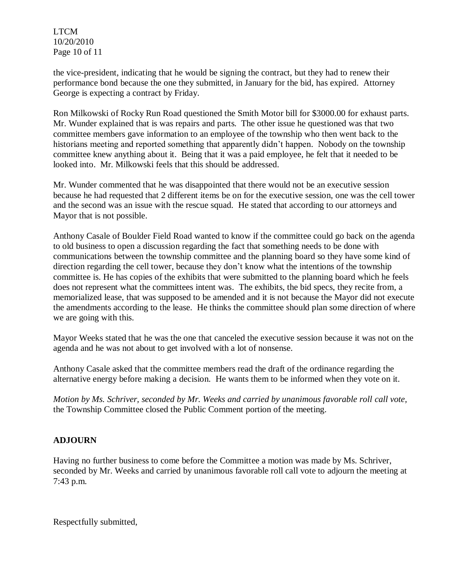LTCM 10/20/2010 Page 10 of 11

the vice-president, indicating that he would be signing the contract, but they had to renew their performance bond because the one they submitted, in January for the bid, has expired. Attorney George is expecting a contract by Friday.

Ron Milkowski of Rocky Run Road questioned the Smith Motor bill for \$3000.00 for exhaust parts. Mr. Wunder explained that is was repairs and parts. The other issue he questioned was that two committee members gave information to an employee of the township who then went back to the historians meeting and reported something that apparently didn't happen. Nobody on the township committee knew anything about it. Being that it was a paid employee, he felt that it needed to be looked into. Mr. Milkowski feels that this should be addressed.

Mr. Wunder commented that he was disappointed that there would not be an executive session because he had requested that 2 different items be on for the executive session, one was the cell tower and the second was an issue with the rescue squad. He stated that according to our attorneys and Mayor that is not possible.

Anthony Casale of Boulder Field Road wanted to know if the committee could go back on the agenda to old business to open a discussion regarding the fact that something needs to be done with communications between the township committee and the planning board so they have some kind of direction regarding the cell tower, because they don't know what the intentions of the township committee is. He has copies of the exhibits that were submitted to the planning board which he feels does not represent what the committees intent was. The exhibits, the bid specs, they recite from, a memorialized lease, that was supposed to be amended and it is not because the Mayor did not execute the amendments according to the lease. He thinks the committee should plan some direction of where we are going with this.

Mayor Weeks stated that he was the one that canceled the executive session because it was not on the agenda and he was not about to get involved with a lot of nonsense.

Anthony Casale asked that the committee members read the draft of the ordinance regarding the alternative energy before making a decision. He wants them to be informed when they vote on it.

*Motion by Ms. Schriver, seconded by Mr. Weeks and carried by unanimous favorable roll call vote,* the Township Committee closed the Public Comment portion of the meeting.

# **ADJOURN**

Having no further business to come before the Committee a motion was made by Ms. Schriver, seconded by Mr. Weeks and carried by unanimous favorable roll call vote to adjourn the meeting at 7:43 p.m.

Respectfully submitted,